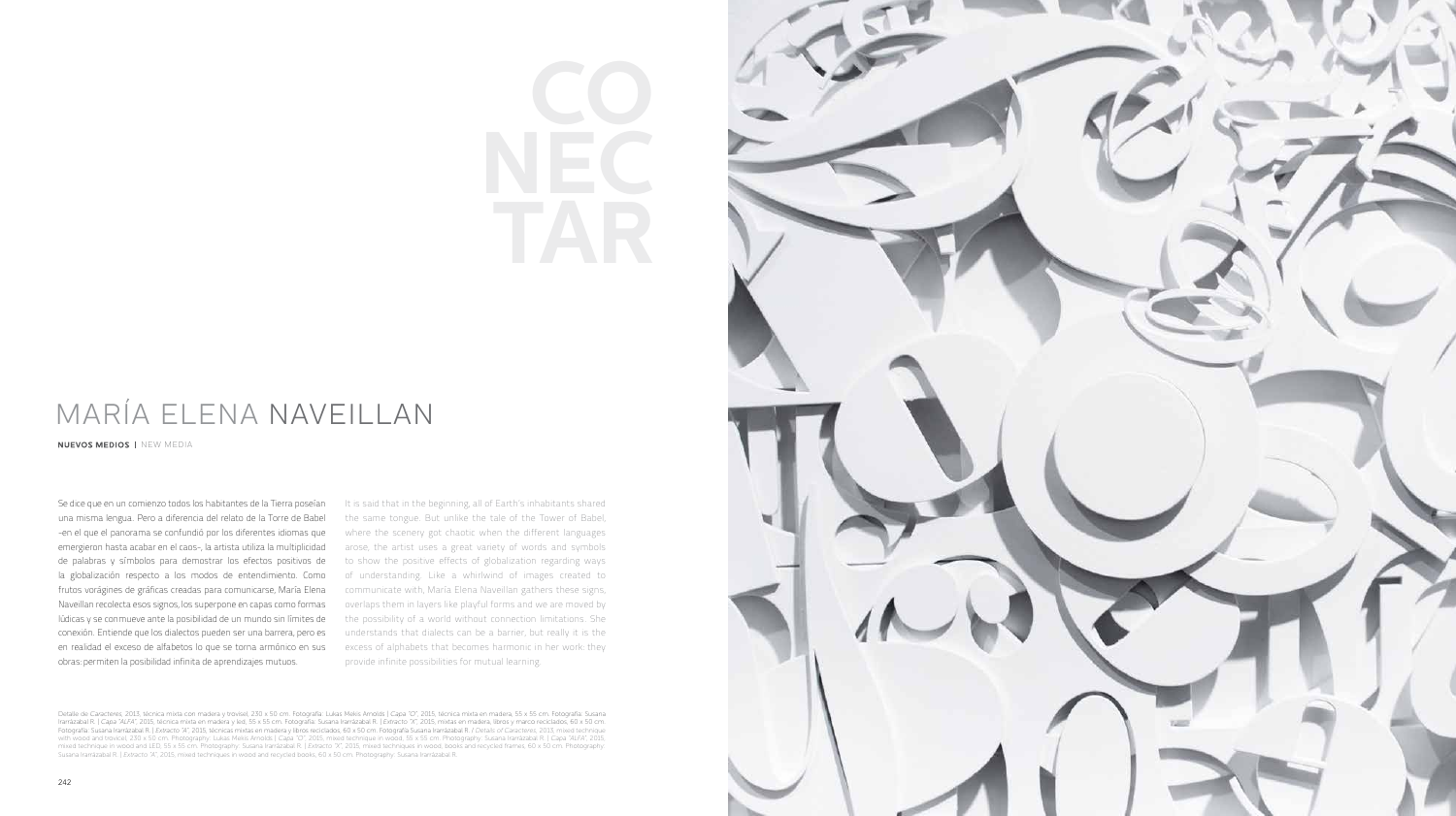

## MARÍA ELENA NAVEILLAN

NUEVOS MEDIOS | NEW MEDIA

**Se dice que en un comienzo todos los habitantes de la Tierra poseían una misma lengua. Pero a diferencia del relato de la Torre de Babel -en el que el panorama se confundió por los diferentes idiomas que emergieron hasta acabar en el caos-, la artista utiliza la multiplicidad de palabras y símbolos para demostrar los efectos positivos de la globalización respecto a los modos de entendimiento. Como frutos vorágines de gráficas creadas para comunicarse, María Elena Naveillan recolecta esos signos, los superpone en capas como formas lúdicas y se conmueve ante la posibilidad de un mundo sin límites de conexión. Entiende que los dialectos pueden ser una barrera, pero es en realidad el exceso de alfabetos lo que se torna armónico en sus obras: permiten la posibilidad infinita de aprendizajes mutuos.** 

**It is said that in the beginning, all of Earth's inhabitants shared the same tongue. But unlike the tale of the Tower of Babel, where the scenery got chaotic when the different languages arose, the artist uses a great variety of words and symbols to show the positive effects of globalization regarding ways of understanding. Like a whirlwind of images created to communicate with, María Elena Naveillan gathers these signs, overlaps them in layers like playful forms and we are moved by the possibility of a world without connection limitations. She understands that dialects can be a barrier, but really it is the excess of alphabets that becomes harmonic in her work: they provide infinite possibilities for mutual learning.**

Detalle de Caracteres, 2013, técnica mixta con madera y trovisel, 230 x 50 cm. Fotografía: Lukas Mekis Arnolds | Capa "O", 2015, técnica mixta en madera, 55 x 55 cm. Fotografía: Susana Irarrázabal R. | *Capa "ALFA"*, 2015, técnica mixta en madera y led, 55 x 55 cm. Fotografía: Susana Irarrázabal R. | *Extracto "X",* 2015, mixtas en madera, libros y marco reciclados, 60 x 50 cm. Fotografía: Susana Irarrázabal R. | *Extracto "A"*, 2015, técnicas mixtas en madera y libros reciclados, 60 x 50 cm. Fotografía Susana Irarrázabal R. / *Details of Caracteres,* 2013, mixed technique with wood and trovicel, 230 x 50 cm. Photography: Lukas Mekis Arnolds | *Capa "O"*, 2015, mixed technique in wood, 55 x 55 cm. Photography: Susana Irarrázabal R. | *Capa "ALFA"*, 2015, mixed technique in wood and LED, 55 x 55 cm. Photography: Susana Irarrázabal R. | *Extracto "X"*, 2015, mixed techniques in wood, books and recycled frames, 60 x 50 cm. Photography: Susana Irarrázabal R. | *Extracto "A"*, 2015, mixed techniques in wood and recycled books, 60 x 50 cm. Photography: Susana Irarrázabal R.

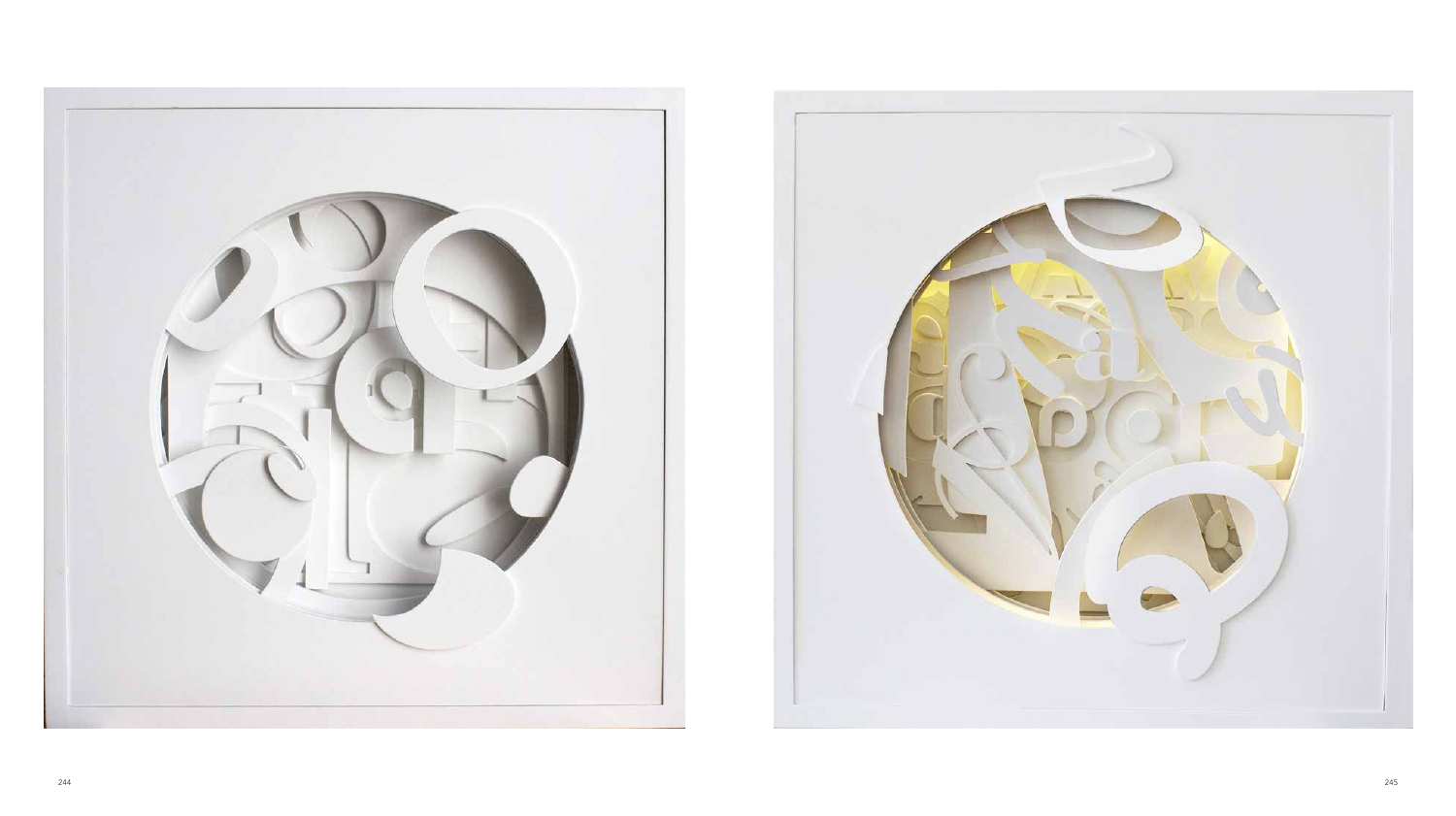